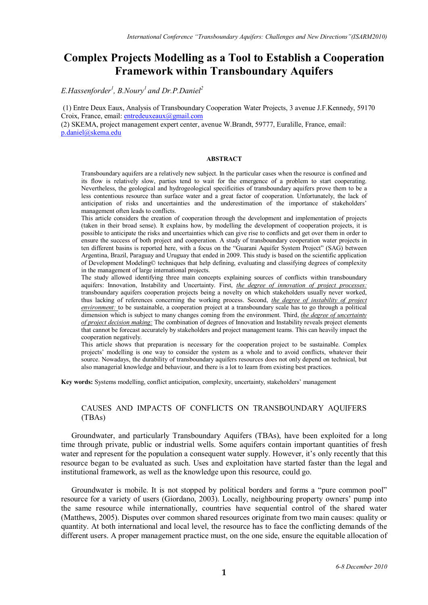# **Complex Projects Modelling as a Tool to Establish a Cooperation Framework within Transboundary Aquifers**

*E.Hassenforder<sup>1</sup> , B.Noury1 and Dr.P.Daniel<sup>2</sup>*

(1) Entre Deux Eaux, Analysis of Transboundary Cooperation Water Projects, 3 avenue J.F.Kennedy, 59170 Croix, France, email[: entredeuxeaux@gmail.com](mailto:entredeuxeaux@gmail.com)

(2) SKEMA, project management expert center, avenue W.Brandt, 59777, Euralille, France, email: [p.daniel@skema.edu](mailto:p.daniel@skema.edu)

#### **ABSTRACT**

Transboundary aquifers are a relatively new subject. In the particular cases when the resource is confined and its flow is relatively slow, parties tend to wait for the emergence of a problem to start cooperating. Nevertheless, the geological and hydrogeological specificities of transboundary aquifers prove them to be a less contentious resource than surface water and a great factor of cooperation. Unfortunately, the lack of anticipation of risks and uncertainties and the underestimation of the importance of stakeholders' management often leads to conflicts.

This article considers the creation of cooperation through the development and implementation of projects (taken in their broad sense). It explains how, by modelling the development of cooperation projects, it is possible to anticipate the risks and uncertainties which can give rise to conflicts and get over them in order to ensure the success of both project and cooperation. A study of transboundary cooperation water projects in ten different basins is reported here, with a focus on the "Guarani Aquifer System Project" (SAG) between Argentina, Brazil, Paraguay and Uruguay that ended in 2009. This study is based on the scientific application of Development Modeling© techniques that help defining, evaluating and classifying degrees of complexity in the management of large international projects.

The study allowed identifying three main concepts explaining sources of conflicts within transboundary aquifers: Innovation, Instability and Uncertainty. First, *the degree of innovation of project processes:*  transboundary aquifers cooperation projects being a novelty on which stakeholders usually never worked, thus lacking of references concerning the working process. Second, *the degree of instability of project environment:* to be sustainable, a cooperation project at a transboundary scale has to go through a political dimension which is subject to many changes coming from the environment. Third, *the degree of uncertainty of project decision making:* The combination of degrees of Innovation and Instability reveals project elements that cannot be forecast accurately by stakeholders and project management teams. This can heavily impact the cooperation negatively.

This article shows that preparation is necessary for the cooperation project to be sustainable. Complex projects' modelling is one way to consider the system as a whole and to avoid conflicts, whatever their source. Nowadays, the durability of transboundary aquifers resources does not only depend on technical, but also managerial knowledge and behaviour, and there is a lot to learn from existing best practices.

**Key words:** Systems modelling, conflict anticipation, complexity, uncertainty, stakeholders' management

# CAUSES AND IMPACTS OF CONFLICTS ON TRANSBOUNDARY AQUIFERS (TBAs)

Groundwater, and particularly Transboundary Aquifers (TBAs), have been exploited for a long time through private, public or industrial wells. Some aquifers contain important quantities of fresh water and represent for the population a consequent water supply. However, it's only recently that this resource began to be evaluated as such. Uses and exploitation have started faster than the legal and institutional framework, as well as the knowledge upon this resource, could go.

Groundwater is mobile. It is not stopped by political borders and forms a "pure common pool" resource for a variety of users (Giordano, 2003). Locally, neighbouring property owners' pump into the same resource while internationally, countries have sequential control of the shared water (Matthews, 2005). Disputes over common shared resources originate from two main causes: quality or quantity. At both international and local level, the resource has to face the conflicting demands of the different users. A proper management practice must, on the one side, ensure the equitable allocation of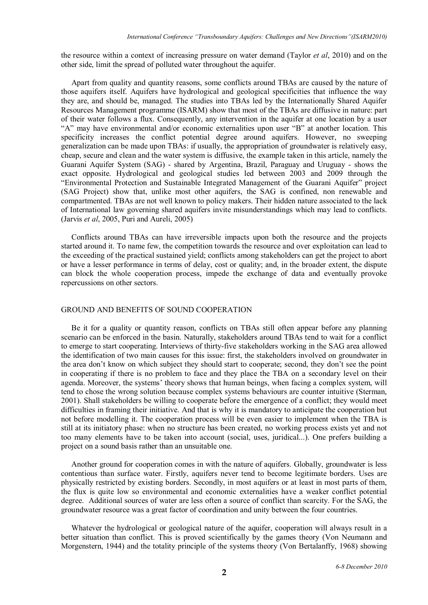the resource within a context of increasing pressure on water demand (Taylor *et al*, 2010) and on the other side, limit the spread of polluted water throughout the aquifer.

Apart from quality and quantity reasons, some conflicts around TBAs are caused by the nature of those aquifers itself. Aquifers have hydrological and geological specificities that influence the way they are, and should be, managed. The studies into TBAs led by the Internationally Shared Aquifer Resources Management programme (ISARM) show that most of the TBAs are diffusive in nature: part of their water follows a flux. Consequently, any intervention in the aquifer at one location by a user "A" may have environmental and/or economic externalities upon user "B" at another location. This specificity increases the conflict potential degree around aquifers. However, no sweeping generalization can be made upon TBAs: if usually, the appropriation of groundwater is relatively easy, cheap, secure and clean and the water system is diffusive, the example taken in this article, namely the Guarani Aquifer System (SAG) - shared by Argentina, Brazil, Paraguay and Uruguay - shows the exact opposite. Hydrological and geological studies led between 2003 and 2009 through the "Environmental Protection and Sustainable Integrated Management of the Guarani Aquifer" project (SAG Project) show that, unlike most other aquifers, the SAG is confined, non renewable and compartmented. TBAs are not well known to policy makers. Their hidden nature associated to the lack of International law governing shared aquifers invite misunderstandings which may lead to conflicts. (Jarvis *et al*, 2005, Puri and Aureli, 2005)

Conflicts around TBAs can have irreversible impacts upon both the resource and the projects started around it. To name few, the competition towards the resource and over exploitation can lead to the exceeding of the practical sustained yield; conflicts among stakeholders can get the project to abort or have a lesser performance in terms of delay, cost or quality; and, in the broader extent, the dispute can block the whole cooperation process, impede the exchange of data and eventually provoke repercussions on other sectors.

# GROUND AND BENEFITS OF SOUND COOPERATION

Be it for a quality or quantity reason, conflicts on TBAs still often appear before any planning scenario can be enforced in the basin. Naturally, stakeholders around TBAs tend to wait for a conflict to emerge to start cooperating. Interviews of thirty-five stakeholders working in the SAG area allowed the identification of two main causes for this issue: first, the stakeholders involved on groundwater in the area don't know on which subject they should start to cooperate; second, they don't see the point in cooperating if there is no problem to face and they place the TBA on a secondary level on their agenda. Moreover, the systems' theory shows that human beings, when facing a complex system, will tend to chose the wrong solution because complex systems behaviours are counter intuitive (Sterman, 2001). Shall stakeholders be willing to cooperate before the emergence of a conflict; they would meet difficulties in framing their initiative. And that is why it is mandatory to anticipate the cooperation but not before modelling it. The cooperation process will be even easier to implement when the TBA is still at its initiatory phase: when no structure has been created, no working process exists yet and not too many elements have to be taken into account (social, uses, juridical...). One prefers building a project on a sound basis rather than an unsuitable one.

Another ground for cooperation comes in with the nature of aquifers. Globally, groundwater is less contentious than surface water. Firstly, aquifers never tend to become legitimate borders. Uses are physically restricted by existing borders. Secondly, in most aquifers or at least in most parts of them, the flux is quite low so environmental and economic externalities have a weaker conflict potential degree. Additional sources of water are less often a source of conflict than scarcity. For the SAG, the groundwater resource was a great factor of coordination and unity between the four countries.

Whatever the hydrological or geological nature of the aquifer, cooperation will always result in a better situation than conflict. This is proved scientifically by the games theory (Von Neumann and Morgenstern, 1944) and the totality principle of the systems theory (Von Bertalanffy, 1968) showing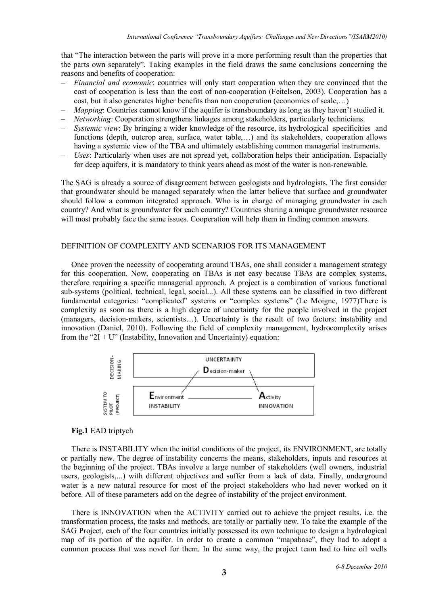that "The interaction between the parts will prove in a more performing result than the properties that the parts own separately". Taking examples in the field draws the same conclusions concerning the reasons and benefits of cooperation:

- *– Financial and economic*: countries will only start cooperation when they are convinced that the cost of cooperation is less than the cost of non-cooperation (Feitelson, 2003). Cooperation has a cost, but it also generates higher benefits than non cooperation (economies of scale,…)
- *Mapping*: Countries cannot know if the aquifer is transboundary as long as they haven't studied it.
- *– Networking*: Cooperation strengthens linkages among stakeholders, particularly technicians.
- *– Systemic view*: By bringing a wider knowledge of the resource, its hydrological specificities and functions (depth, outcrop area, surface, water table,…) and its stakeholders, cooperation allows having a systemic view of the TBA and ultimately establishing common managerial instruments.
- *– Uses*: Particularly when uses are not spread yet, collaboration helps their anticipation. Espacially for deep aquifers, it is mandatory to think years ahead as most of the water is non-renewable.

The SAG is already a source of disagreement between geologists and hydrologists. The first consider that groundwater should be managed separately when the latter believe that surface and groundwater should follow a common integrated approach. Who is in charge of managing groundwater in each country? And what is groundwater for each country? Countries sharing a unique groundwater resource will most probably face the same issues. Cooperation will help them in finding common answers.

# DEFINITION OF COMPLEXITY AND SCENARIOS FOR ITS MANAGEMENT

Once proven the necessity of cooperating around TBAs, one shall consider a management strategy for this cooperation. Now, cooperating on TBAs is not easy because TBAs are complex systems, therefore requiring a specific managerial approach. A project is a combination of various functional sub-systems (political, technical, legal, social...). All these systems can be classified in two different fundamental categories: "complicated" systems or "complex systems" (Le Moigne, 1977)There is complexity as soon as there is a high degree of uncertainty for the people involved in the project (managers, decision-makers, scientists…). Uncertainty is the result of two factors: instability and innovation (Daniel, 2010). Following the field of complexity management, hydrocomplexity arises from the "2I + U" (Instability, Innovation and Uncertainty) equation:



# **Fig.1** EAD triptych

There is INSTABILITY when the initial conditions of the project, its ENVIRONMENT, are totally or partially new. The degree of instability concerns the means, stakeholders, inputs and resources at the beginning of the project. TBAs involve a large number of stakeholders (well owners, industrial users, geologists,...) with different objectives and suffer from a lack of data. Finally, underground water is a new natural resource for most of the project stakeholders who had never worked on it before. All of these parameters add on the degree of instability of the project environment.

There is INNOVATION when the ACTIVITY carried out to achieve the project results, i.e. the transformation process, the tasks and methods, are totally or partially new. To take the example of the SAG Project, each of the four countries initially possessed its own technique to design a hydrological map of its portion of the aquifer. In order to create a common "mapabase", they had to adopt a common process that was novel for them. In the same way, the project team had to hire oil wells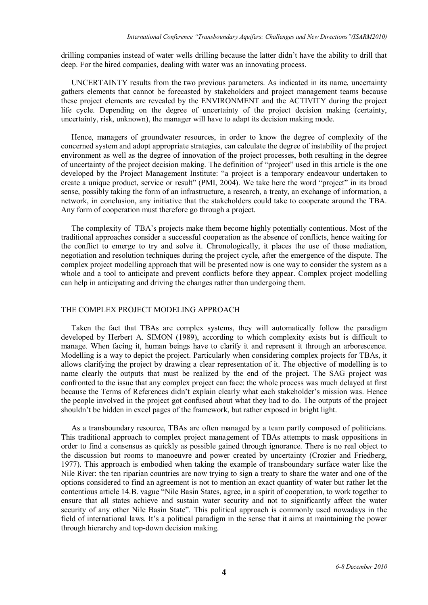drilling companies instead of water wells drilling because the latter didn't have the ability to drill that deep. For the hired companies, dealing with water was an innovating process.

UNCERTAINTY results from the two previous parameters. As indicated in its name, uncertainty gathers elements that cannot be forecasted by stakeholders and project management teams because these project elements are revealed by the ENVIRONMENT and the ACTIVITY during the project life cycle. Depending on the degree of uncertainty of the project decision making (certainty, uncertainty, risk, unknown), the manager will have to adapt its decision making mode.

Hence, managers of groundwater resources, in order to know the degree of complexity of the concerned system and adopt appropriate strategies, can calculate the degree of instability of the project environment as well as the degree of innovation of the project processes, both resulting in the degree of uncertainty of the project decision making. The definition of "project" used in this article is the one developed by the Project Management Institute: "a project is a temporary endeavour undertaken to create a unique product, service or result" (PMI, 2004). We take here the word "project" in its broad sense, possibly taking the form of an infrastructure, a research, a treaty, an exchange of information, a network, in conclusion, any initiative that the stakeholders could take to cooperate around the TBA. Any form of cooperation must therefore go through a project.

The complexity of TBA's projects make them become highly potentially contentious. Most of the traditional approaches consider a successful cooperation as the absence of conflicts, hence waiting for the conflict to emerge to try and solve it. Chronologically, it places the use of those mediation, negotiation and resolution techniques during the project cycle, after the emergence of the dispute. The complex project modelling approach that will be presented now is one way to consider the system as a whole and a tool to anticipate and prevent conflicts before they appear. Complex project modelling can help in anticipating and driving the changes rather than undergoing them.

# THE COMPLEX PROJECT MODELING APPROACH

Taken the fact that TBAs are complex systems, they will automatically follow the paradigm developed by Herbert A. SIMON (1989), according to which complexity exists but is difficult to manage. When facing it, human beings have to clarify it and represent it through an arborescence. Modelling is a way to depict the project. Particularly when considering complex projects for TBAs, it allows clarifying the project by drawing a clear representation of it. The objective of modelling is to name clearly the outputs that must be realized by the end of the project. The SAG project was confronted to the issue that any complex project can face: the whole process was much delayed at first because the Terms of References didn't explain clearly what each stakeholder's mission was. Hence the people involved in the project got confused about what they had to do. The outputs of the project shouldn't be hidden in excel pages of the framework, but rather exposed in bright light.

As a transboundary resource, TBAs are often managed by a team partly composed of politicians. This traditional approach to complex project management of TBAs attempts to mask oppositions in order to find a consensus as quickly as possible gained through ignorance. There is no real object to the discussion but rooms to manoeuvre and power created by uncertainty (Crozier and Friedberg, 1977). This approach is embodied when taking the example of transboundary surface water like the Nile River: the ten riparian countries are now trying to sign a treaty to share the water and one of the options considered to find an agreement is not to mention an exact quantity of water but rather let the contentious article 14.B. vague "Nile Basin States, agree, in a spirit of cooperation, to work together to ensure that all states achieve and sustain water security and not to significantly affect the water security of any other Nile Basin State". This political approach is commonly used nowadays in the field of international laws. It's a political paradigm in the sense that it aims at maintaining the power through hierarchy and top-down decision making.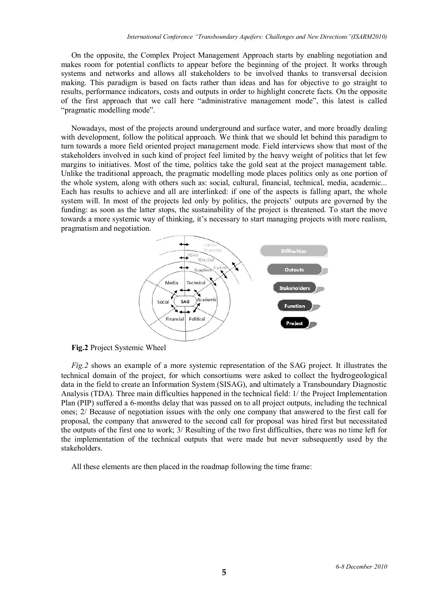On the opposite, the Complex Project Management Approach starts by enabling negotiation and makes room for potential conflicts to appear before the beginning of the project. It works through systems and networks and allows all stakeholders to be involved thanks to transversal decision making. This paradigm is based on facts rather than ideas and has for objective to go straight to results, performance indicators, costs and outputs in order to highlight concrete facts. On the opposite of the first approach that we call here "administrative management mode", this latest is called "pragmatic modelling mode".

Nowadays, most of the projects around underground and surface water, and more broadly dealing with development, follow the political approach. We think that we should let behind this paradigm to turn towards a more field oriented project management mode. Field interviews show that most of the stakeholders involved in such kind of project feel limited by the heavy weight of politics that let few margins to initiatives. Most of the time, politics take the gold seat at the project management table. Unlike the traditional approach, the pragmatic modelling mode places politics only as one portion of the whole system, along with others such as: social, cultural, financial, technical, media, academic... Each has results to achieve and all are interlinked: if one of the aspects is falling apart, the whole system will. In most of the projects led only by politics, the projects' outputs are governed by the funding: as soon as the latter stops, the sustainability of the project is threatened. To start the move towards a more systemic way of thinking, it's necessary to start managing projects with more realism, pragmatism and negotiation.



**Fig.2** Project Systemic Wheel

*Fig.2* shows an example of a more systemic representation of the SAG project. It illustrates the technical domain of the project, for which consortiums were asked to collect the hydrogeological data in the field to create an Information System (SISAG), and ultimately a Transboundary Diagnostic Analysis (TDA). Three main difficulties happened in the technical field: 1/ the Project Implementation Plan (PIP) suffered a 6-months delay that was passed on to all project outputs, including the technical ones; 2/ Because of negotiation issues with the only one company that answered to the first call for proposal, the company that answered to the second call for proposal was hired first but necessitated the outputs of the first one to work; 3/ Resulting of the two first difficulties, there was no time left for the implementation of the technical outputs that were made but never subsequently used by the stakeholders.

All these elements are then placed in the roadmap following the time frame: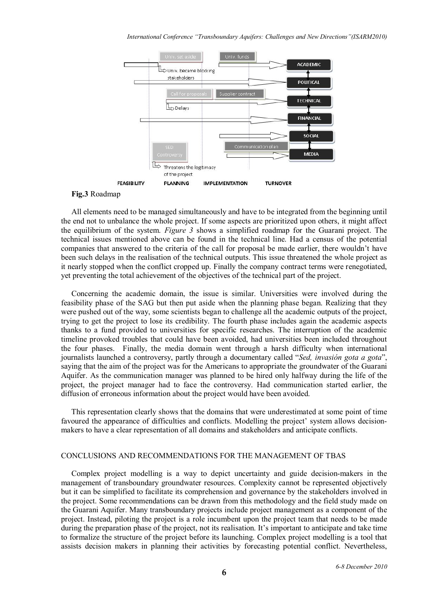

# **Fig.3** Roadmap

All elements need to be managed simultaneously and have to be integrated from the beginning until the end not to unbalance the whole project. If some aspects are prioritized upon others, it might affect the equilibrium of the system. *Figure 3* shows a simplified roadmap for the Guarani project. The technical issues mentioned above can be found in the technical line. Had a census of the potential companies that answered to the criteria of the call for proposal be made earlier, there wouldn't have been such delays in the realisation of the technical outputs. This issue threatened the whole project as it nearly stopped when the conflict cropped up. Finally the company contract terms were renegotiated, yet preventing the total achievement of the objectives of the technical part of the project.

Concerning the academic domain, the issue is similar. Universities were involved during the feasibility phase of the SAG but then put aside when the planning phase began. Realizing that they were pushed out of the way, some scientists began to challenge all the academic outputs of the project, trying to get the project to lose its credibility. The fourth phase includes again the academic aspects thanks to a fund provided to universities for specific researches. The interruption of the academic timeline provoked troubles that could have been avoided, had universities been included throughout the four phases. Finally, the media domain went through a harsh difficulty when international journalists launched a controversy, partly through a documentary called "*Sed, invasión gota a gota*", saying that the aim of the project was for the Americans to appropriate the groundwater of the Guarani Aquifer. As the communication manager was planned to be hired only halfway during the life of the project, the project manager had to face the controversy. Had communication started earlier, the diffusion of erroneous information about the project would have been avoided.

This representation clearly shows that the domains that were underestimated at some point of time favoured the appearance of difficulties and conflicts. Modelling the project' system allows decisionmakers to have a clear representation of all domains and stakeholders and anticipate conflicts.

## CONCLUSIONS AND RECOMMENDATIONS FOR THE MANAGEMENT OF TBAS

Complex project modelling is a way to depict uncertainty and guide decision-makers in the management of transboundary groundwater resources. Complexity cannot be represented objectively but it can be simplified to facilitate its comprehension and governance by the stakeholders involved in the project. Some recommendations can be drawn from this methodology and the field study made on the Guarani Aquifer. Many transboundary projects include project management as a component of the project. Instead, piloting the project is a role incumbent upon the project team that needs to be made during the preparation phase of the project, not its realisation. It's important to anticipate and take time to formalize the structure of the project before its launching. Complex project modelling is a tool that assists decision makers in planning their activities by forecasting potential conflict. Nevertheless,